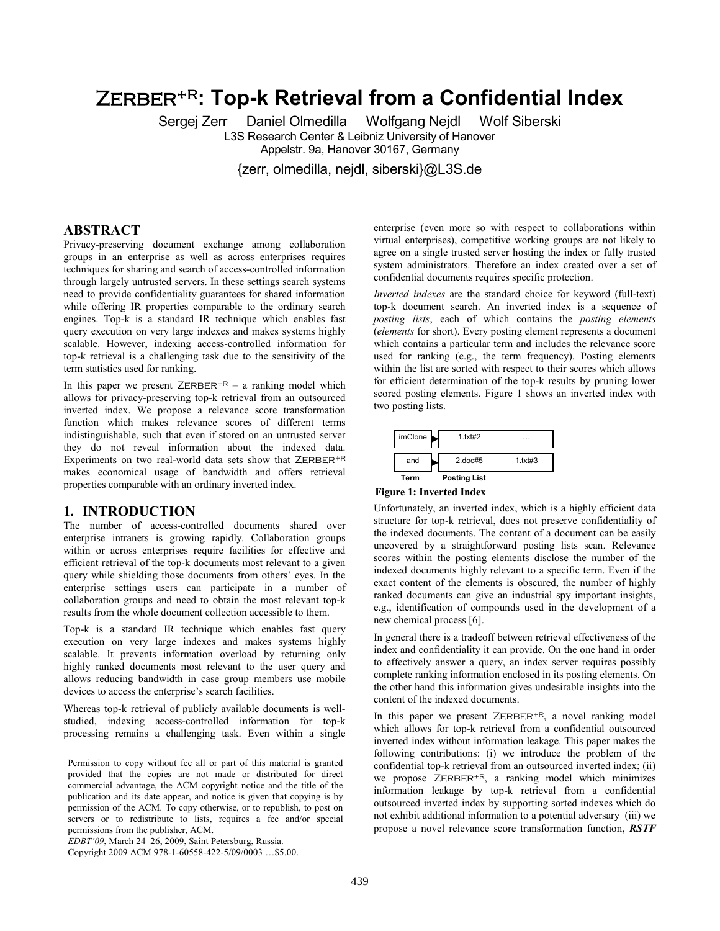# **Zerber+R: Top-k Retrieval from a Confidential Index**

Sergej Zerr Daniel Olmedilla Wolfgang Nejdl Wolf Siberski L3S Research Center & Leibniz University of Hanover Appelstr. 9a, Hanover 30167, Germany

{zerr, olmedilla, nejdl, siberski}@L3S.de

# **ABSTRACT**

Privacy-preserving document exchange among collaboration groups in an enterprise as well as across enterprises requires techniques for sharing and search of access-controlled information through largely untrusted servers. In these settings search systems need to provide confidentiality guarantees for shared information while offering IR properties comparable to the ordinary search engines. Top-k is a standard IR technique which enables fast query execution on very large indexes and makes systems highly scalable. However, indexing access-controlled information for top-k retrieval is a challenging task due to the sensitivity of the term statistics used for ranking.

In this paper we present  $ZERBER^{+R}$  – a ranking model which allows for privacy-preserving top-k retrieval from an outsourced inverted index. We propose a relevance score transformation function which makes relevance scores of different terms indistinguishable, such that even if stored on an untrusted server they do not reveal information about the indexed data. Experiments on two real-world data sets show that  $ZERBER^{+R}$ makes economical usage of bandwidth and offers retrieval properties comparable with an ordinary inverted index.

# **1. INTRODUCTION**

The number of access-controlled documents shared over enterprise intranets is growing rapidly. Collaboration groups within or across enterprises require facilities for effective and efficient retrieval of the top-k documents most relevant to a given query while shielding those documents from others' eyes. In the enterprise settings users can participate in a number of collaboration groups and need to obtain the most relevant top-k results from the whole document collection accessible to them.

Top-k is a standard IR technique which enables fast query execution on very large indexes and makes systems highly scalable. It prevents information overload by returning only highly ranked documents most relevant to the user query and allows reducing bandwidth in case group members use mobile devices to access the enterprise's search facilities.

Whereas top-k retrieval of publicly available documents is wellstudied, indexing access-controlled information for top-k processing remains a challenging task. Even within a single

Permission to copy without fee all or part of this material is granted provided that the copies are not made or distributed for direct commercial advantage, the ACM copyright notice and the title of the publication and its date appear, and notice is given that copying is by permission of the ACM. To copy otherwise, or to republish, to post on servers or to redistribute to lists, requires a fee and/or special permissions from the publisher, ACM.

*EDBT'09*, March 24–26, 2009, Saint Petersburg, Russia.

Copyright 2009 ACM 978-1-60558-422-5/09/0003 …\$5.00.

enterprise (even more so with respect to collaborations within virtual enterprises), competitive working groups are not likely to agree on a single trusted server hosting the index or fully trusted system administrators. Therefore an index created over a set of confidential documents requires specific protection.

*Inverted indexes* are the standard choice for keyword (full-text) top-k document search. An inverted index is a sequence of *posting lists*, each of which contains the *posting elements* (*elements* for short). Every posting element represents a document which contains a particular term and includes the relevance score used for ranking (e.g., the term frequency). Posting elements within the list are sorted with respect to their scores which allows for efficient determination of the top-k results by pruning lower scored posting elements. Figure 1 shows an inverted index with two posting lists.

| $imC$ lone | 1.txt#2             |         |
|------------|---------------------|---------|
| and        | $2$ .doc#5          | 1.1xH43 |
| Term       | <b>Posting List</b> |         |

**Figure 1: Inverted Index** 

Unfortunately, an inverted index, which is a highly efficient data structure for top-k retrieval, does not preserve confidentiality of the indexed documents. The content of a document can be easily uncovered by a straightforward posting lists scan. Relevance scores within the posting elements disclose the number of the indexed documents highly relevant to a specific term. Even if the exact content of the elements is obscured, the number of highly ranked documents can give an industrial spy important insights, e.g., identification of compounds used in the development of a new chemical process [6].

In general there is a tradeoff between retrieval effectiveness of the index and confidentiality it can provide. On the one hand in order to effectively answer a query, an index server requires possibly complete ranking information enclosed in its posting elements. On the other hand this information gives undesirable insights into the content of the indexed documents.

In this paper we present  $ZERBER^{+R}$ , a novel ranking model which allows for top-k retrieval from a confidential outsourced inverted index without information leakage. This paper makes the following contributions: (i) we introduce the problem of the confidential top-k retrieval from an outsourced inverted index; (ii) we propose  $ZERBER+R$ , a ranking model which minimizes information leakage by top-k retrieval from a confidential outsourced inverted index by supporting sorted indexes which do not exhibit additional information to a potential adversary (iii) we propose a novel relevance score transformation function, *RSTF*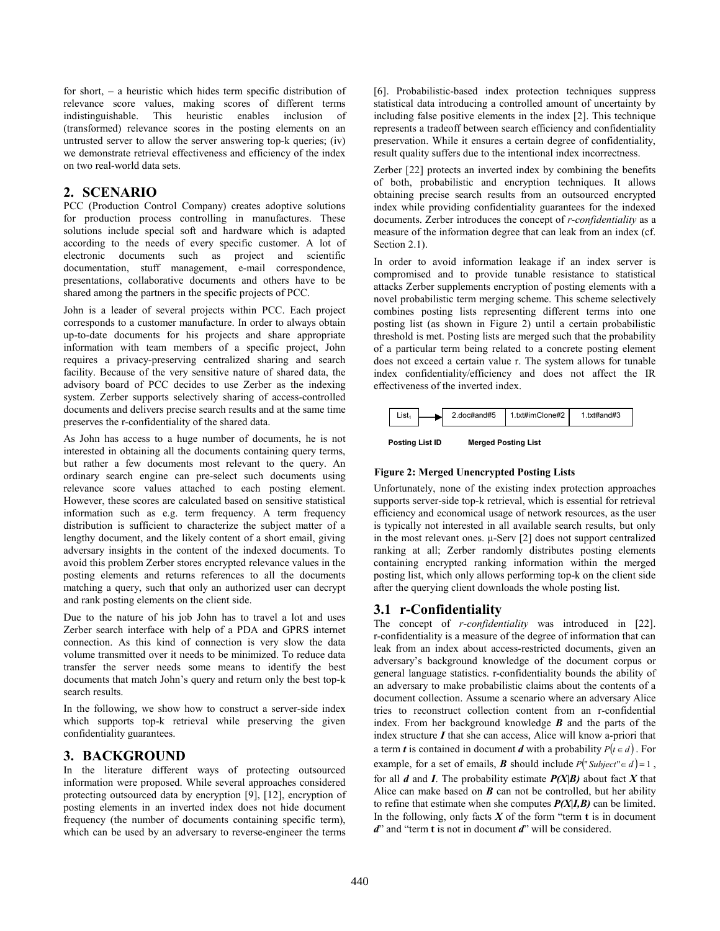for short, – a heuristic which hides term specific distribution of relevance score values, making scores of different terms indistinguishable. This heuristic enables inclusion of (transformed) relevance scores in the posting elements on an untrusted server to allow the server answering top-k queries; (iv) we demonstrate retrieval effectiveness and efficiency of the index on two real-world data sets.

# **2. SCENARIO**

PCC (Production Control Company) creates adoptive solutions for production process controlling in manufactures. These solutions include special soft and hardware which is adapted according to the needs of every specific customer. A lot of electronic documents such as project and scientific documentation, stuff management, e-mail correspondence, presentations, collaborative documents and others have to be shared among the partners in the specific projects of PCC.

John is a leader of several projects within PCC. Each project corresponds to a customer manufacture. In order to always obtain up-to-date documents for his projects and share appropriate information with team members of a specific project, John requires a privacy-preserving centralized sharing and search facility. Because of the very sensitive nature of shared data, the advisory board of PCC decides to use Zerber as the indexing system. Zerber supports selectively sharing of access-controlled documents and delivers precise search results and at the same time preserves the r-confidentiality of the shared data.

As John has access to a huge number of documents, he is not interested in obtaining all the documents containing query terms, but rather a few documents most relevant to the query. An ordinary search engine can pre-select such documents using relevance score values attached to each posting element. However, these scores are calculated based on sensitive statistical information such as e.g. term frequency. A term frequency distribution is sufficient to characterize the subject matter of a lengthy document, and the likely content of a short email, giving adversary insights in the content of the indexed documents. To avoid this problem Zerber stores encrypted relevance values in the posting elements and returns references to all the documents matching a query, such that only an authorized user can decrypt and rank posting elements on the client side.

Due to the nature of his job John has to travel a lot and uses Zerber search interface with help of a PDA and GPRS internet connection. As this kind of connection is very slow the data volume transmitted over it needs to be minimized. To reduce data transfer the server needs some means to identify the best documents that match John's query and return only the best top-k search results.

In the following, we show how to construct a server-side index which supports top-k retrieval while preserving the given confidentiality guarantees.

# **3. BACKGROUND**

In the literature different ways of protecting outsourced information were proposed. While several approaches considered protecting outsourced data by encryption [9], [12], encryption of posting elements in an inverted index does not hide document frequency (the number of documents containing specific term), which can be used by an adversary to reverse-engineer the terms

[6]. Probabilistic-based index protection techniques suppress statistical data introducing a controlled amount of uncertainty by including false positive elements in the index [2]. This technique represents a tradeoff between search efficiency and confidentiality preservation. While it ensures a certain degree of confidentiality, result quality suffers due to the intentional index incorrectness.

Zerber [22] protects an inverted index by combining the benefits of both, probabilistic and encryption techniques. It allows obtaining precise search results from an outsourced encrypted index while providing confidentiality guarantees for the indexed documents. Zerber introduces the concept of *r-confidentiality* as a measure of the information degree that can leak from an index (cf. Section 2.1).

In order to avoid information leakage if an index server is compromised and to provide tunable resistance to statistical attacks Zerber supplements encryption of posting elements with a novel probabilistic term merging scheme. This scheme selectively combines posting lists representing different terms into one posting list (as shown in Figure 2) until a certain probabilistic threshold is met. Posting lists are merged such that the probability of a particular term being related to a concrete posting element does not exceed a certain value r. The system allows for tunable index confidentiality/efficiency and does not affect the IR effectiveness of the inverted index.





#### **Figure 2: Merged Unencrypted Posting Lists**

Unfortunately, none of the existing index protection approaches supports server-side top-k retrieval, which is essential for retrieval efficiency and economical usage of network resources, as the user is typically not interested in all available search results, but only in the most relevant ones. μ-Serv [2] does not support centralized ranking at all; Zerber randomly distributes posting elements containing encrypted ranking information within the merged posting list, which only allows performing top-k on the client side after the querying client downloads the whole posting list.

# **3.1 r-Confidentiality**

The concept of *r-confidentiality* was introduced in [22]. r-confidentiality is a measure of the degree of information that can leak from an index about access-restricted documents, given an adversary's background knowledge of the document corpus or general language statistics. r-confidentiality bounds the ability of an adversary to make probabilistic claims about the contents of a document collection. Assume a scenario where an adversary Alice tries to reconstruct collection content from an r-confidential index. From her background knowledge *B* and the parts of the index structure *I* that she can access, Alice will know a-priori that a term *t* is contained in document *d* with a probability  $P(t \in d)$ . For example, for a set of emails, *B* should include  $P("Subject" \in d) = 1$ , for all *d* and *I*. The probability estimate *P(X|B)* about fact *X* that Alice can make based on *B* can not be controlled, but her ability to refine that estimate when she computes *P(X|I,B)* can be limited. In the following, only facts  $X$  of the form "term  $t$  is in document *d*" and "term **t** is not in document *d*" will be considered.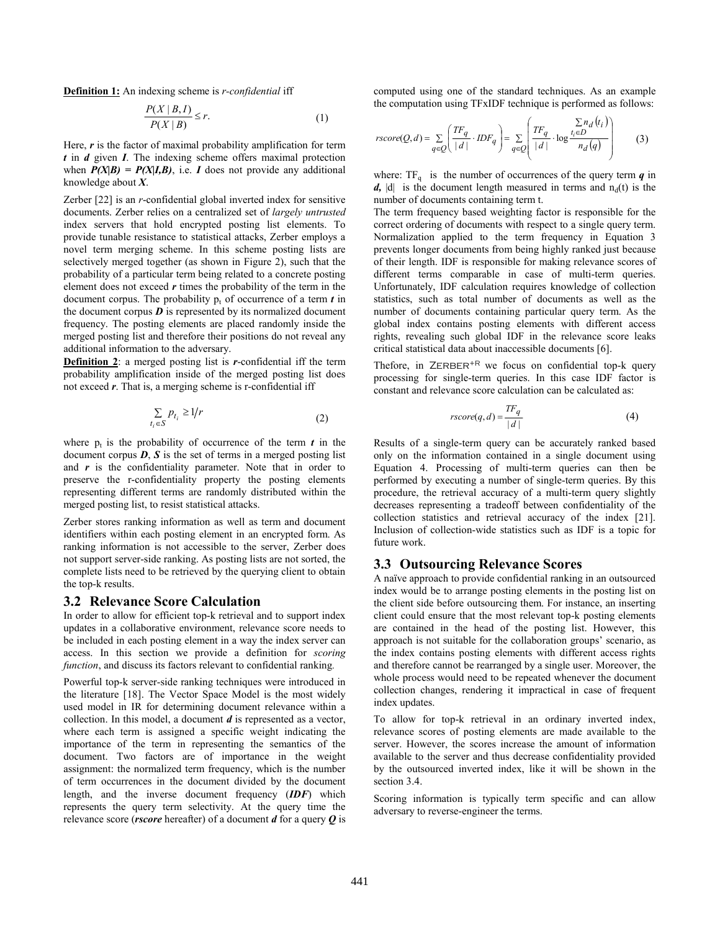**Definition 1:** An indexing scheme is *r-confidential* iff

$$
\frac{P(X \mid B, I)}{P(X \mid B)} \le r.
$$
 (1)

Here, *r* is the factor of maximal probability amplification for term *t* in *d* given *I*. The indexing scheme offers maximal protection when  $P(X|B) = P(X|I, B)$ , i.e. *I* does not provide any additional knowledge about *X*.

Zerber [22] is an *r*-confidential global inverted index for sensitive documents. Zerber relies on a centralized set of *largely untrusted* index servers that hold encrypted posting list elements. To provide tunable resistance to statistical attacks, Zerber employs a novel term merging scheme. In this scheme posting lists are selectively merged together (as shown in Figure 2), such that the probability of a particular term being related to a concrete posting element does not exceed *r* times the probability of the term in the document corpus. The probability  $p_t$  of occurrence of a term  $t$  in the document corpus  $\boldsymbol{D}$  is represented by its normalized document frequency. The posting elements are placed randomly inside the merged posting list and therefore their positions do not reveal any additional information to the adversary.

**Definition 2**: a merged posting list is *r*-confidential iff the term probability amplification inside of the merged posting list does not exceed *r*. That is, a merging scheme is r-confidential iff

$$
\sum_{t_i \in S} p_{t_i} \ge 1/r \tag{2}
$$

where  $p_t$  is the probability of occurrence of the term  $t$  in the document corpus  $\boldsymbol{D}$ ,  $\boldsymbol{S}$  is the set of terms in a merged posting list and *r* is the confidentiality parameter. Note that in order to preserve the r-confidentiality property the posting elements representing different terms are randomly distributed within the merged posting list, to resist statistical attacks.

Zerber stores ranking information as well as term and document identifiers within each posting element in an encrypted form. As ranking information is not accessible to the server, Zerber does not support server-side ranking. As posting lists are not sorted, the complete lists need to be retrieved by the querying client to obtain the top-k results.

### **3.2 Relevance Score Calculation**

In order to allow for efficient top-k retrieval and to support index updates in a collaborative environment, relevance score needs to be included in each posting element in a way the index server can access. In this section we provide a definition for *scoring function*, and discuss its factors relevant to confidential ranking*.*

Powerful top-k server-side ranking techniques were introduced in the literature [18]. The Vector Space Model is the most widely used model in IR for determining document relevance within a collection. In this model, a document *d* is represented as a vector, where each term is assigned a specific weight indicating the importance of the term in representing the semantics of the document. Two factors are of importance in the weight assignment: the normalized term frequency, which is the number of term occurrences in the document divided by the document length, and the inverse document frequency (*IDF*) which represents the query term selectivity. At the query time the relevance score (*rscore* hereafter) of a document *d* for a query *Q* is computed using one of the standard techniques. As an example the computation using TFxIDF technique is performed as follows:

 $\sim$   $\sim$  .

$$
rscore(Q, d) = \sum_{q \in Q} \left( \frac{TF_q}{|d|} \cdot IDF_q \right) = \sum_{q \in Q} \left( \frac{TF_q}{|d|} \cdot \log \frac{\sum n_d (t_i)}{n_d (q)} \right) \tag{3}
$$

where:  $TF_q$  is the number of occurrences of the query term  $q$  in  $d$ ,  $|d|$  is the document length measured in terms and  $n_d(t)$  is the number of documents containing term t.

The term frequency based weighting factor is responsible for the correct ordering of documents with respect to a single query term. Normalization applied to the term frequency in Equation 3 prevents longer documents from being highly ranked just because of their length. IDF is responsible for making relevance scores of different terms comparable in case of multi-term queries. Unfortunately, IDF calculation requires knowledge of collection statistics, such as total number of documents as well as the number of documents containing particular query term. As the global index contains posting elements with different access rights, revealing such global IDF in the relevance score leaks critical statistical data about inaccessible documents [6].

Thefore, in  $ZERBER^{+R}$  we focus on confidential top-k query processing for single-term queries. In this case IDF factor is constant and relevance score calculation can be calculated as:

$$
rscore(q, d) = \frac{TF_q}{|d|} \tag{4}
$$

Results of a single-term query can be accurately ranked based only on the information contained in a single document using Equation 4. Processing of multi-term queries can then be performed by executing a number of single-term queries. By this procedure, the retrieval accuracy of a multi-term query slightly decreases representing a tradeoff between confidentiality of the collection statistics and retrieval accuracy of the index [21]. Inclusion of collection-wide statistics such as IDF is a topic for future work.

#### **3.3 Outsourcing Relevance Scores**

A naïve approach to provide confidential ranking in an outsourced index would be to arrange posting elements in the posting list on the client side before outsourcing them. For instance, an inserting client could ensure that the most relevant top-k posting elements are contained in the head of the posting list. However, this approach is not suitable for the collaboration groups' scenario, as the index contains posting elements with different access rights and therefore cannot be rearranged by a single user. Moreover, the whole process would need to be repeated whenever the document collection changes, rendering it impractical in case of frequent index updates.

To allow for top-k retrieval in an ordinary inverted index, relevance scores of posting elements are made available to the server. However, the scores increase the amount of information available to the server and thus decrease confidentiality provided by the outsourced inverted index, like it will be shown in the section 3.4.

Scoring information is typically term specific and can allow adversary to reverse-engineer the terms.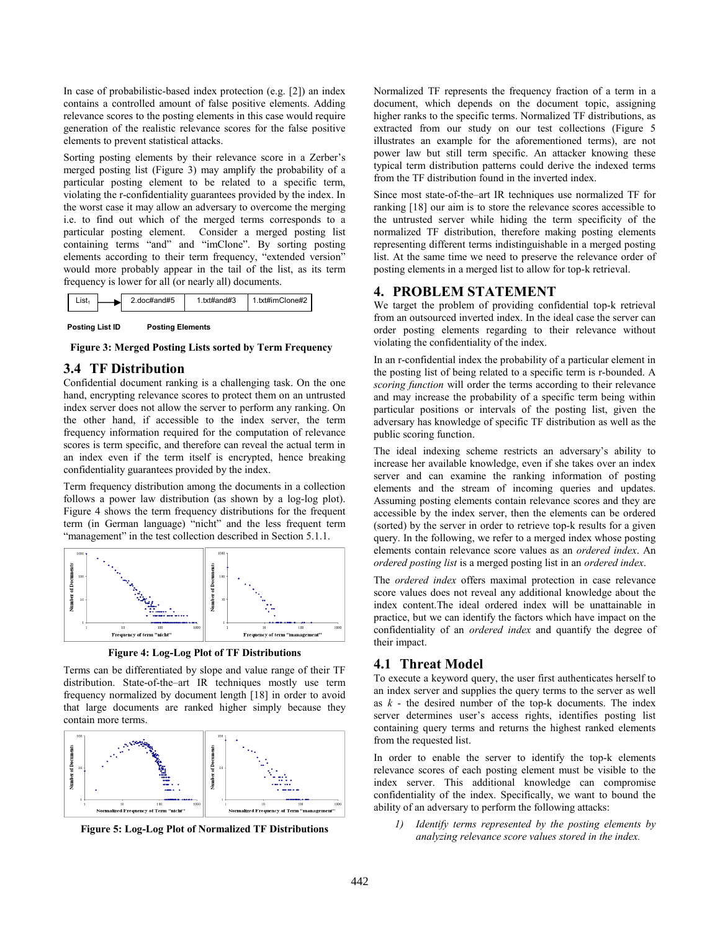In case of probabilistic-based index protection (e.g. [2]) an index contains a controlled amount of false positive elements. Adding relevance scores to the posting elements in this case would require generation of the realistic relevance scores for the false positive elements to prevent statistical attacks.

Sorting posting elements by their relevance score in a Zerber's merged posting list (Figure 3) may amplify the probability of a particular posting element to be related to a specific term, violating the r-confidentiality guarantees provided by the index. In the worst case it may allow an adversary to overcome the merging i.e. to find out which of the merged terms corresponds to a particular posting element. Consider a merged posting list containing terms "and" and "imClone". By sorting posting elements according to their term frequency, "extended version" would more probably appear in the tail of the list, as its term frequency is lower for all (or nearly all) documents.

| ∟ist∍ | 2.doc#and#5 | 1.txt#and#3 | 1.txt#imClone#2 |
|-------|-------------|-------------|-----------------|
|       |             |             |                 |

**Posting List ID Posting Elements** 

**Figure 3: Merged Posting Lists sorted by Term Frequency** 

# **3.4 TF Distribution**

Confidential document ranking is a challenging task. On the one hand, encrypting relevance scores to protect them on an untrusted index server does not allow the server to perform any ranking. On the other hand, if accessible to the index server, the term frequency information required for the computation of relevance scores is term specific, and therefore can reveal the actual term in an index even if the term itself is encrypted, hence breaking confidentiality guarantees provided by the index.

Term frequency distribution among the documents in a collection follows a power law distribution (as shown by a log-log plot). Figure 4 shows the term frequency distributions for the frequent term (in German language) "nicht" and the less frequent term "management" in the test collection described in Section 5.1.1.



**Figure 4: Log-Log Plot of TF Distributions** 

Terms can be differentiated by slope and value range of their TF distribution. State-of-the–art IR techniques mostly use term frequency normalized by document length [18] in order to avoid that large documents are ranked higher simply because they contain more terms.



**Figure 5: Log-Log Plot of Normalized TF Distributions** 

Normalized TF represents the frequency fraction of a term in a document, which depends on the document topic, assigning higher ranks to the specific terms. Normalized TF distributions, as extracted from our study on our test collections (Figure 5 illustrates an example for the aforementioned terms), are not power law but still term specific. An attacker knowing these typical term distribution patterns could derive the indexed terms from the TF distribution found in the inverted index.

Since most state-of-the–art IR techniques use normalized TF for ranking [18] our aim is to store the relevance scores accessible to the untrusted server while hiding the term specificity of the normalized TF distribution, therefore making posting elements representing different terms indistinguishable in a merged posting list. At the same time we need to preserve the relevance order of posting elements in a merged list to allow for top-k retrieval.

# **4. PROBLEM STATEMENT**

We target the problem of providing confidential top-k retrieval from an outsourced inverted index. In the ideal case the server can order posting elements regarding to their relevance without violating the confidentiality of the index.

In an r-confidential index the probability of a particular element in the posting list of being related to a specific term is r-bounded. A *scoring function* will order the terms according to their relevance and may increase the probability of a specific term being within particular positions or intervals of the posting list, given the adversary has knowledge of specific TF distribution as well as the public scoring function.

The ideal indexing scheme restricts an adversary's ability to increase her available knowledge, even if she takes over an index server and can examine the ranking information of posting elements and the stream of incoming queries and updates. Assuming posting elements contain relevance scores and they are accessible by the index server, then the elements can be ordered (sorted) by the server in order to retrieve top-k results for a given query. In the following, we refer to a merged index whose posting elements contain relevance score values as an *ordered index*. An *ordered posting list* is a merged posting list in an *ordered index*.

The *ordered index* offers maximal protection in case relevance score values does not reveal any additional knowledge about the index content.The ideal ordered index will be unattainable in practice, but we can identify the factors which have impact on the confidentiality of an *ordered index* and quantify the degree of their impact.

### **4.1 Threat Model**

To execute a keyword query, the user first authenticates herself to an index server and supplies the query terms to the server as well as *k* - the desired number of the top-k documents. The index server determines user's access rights, identifies posting list containing query terms and returns the highest ranked elements from the requested list.

In order to enable the server to identify the top-k elements relevance scores of each posting element must be visible to the index server. This additional knowledge can compromise confidentiality of the index. Specifically, we want to bound the ability of an adversary to perform the following attacks:

*1) Identify terms represented by the posting elements by analyzing relevance score values stored in the index.*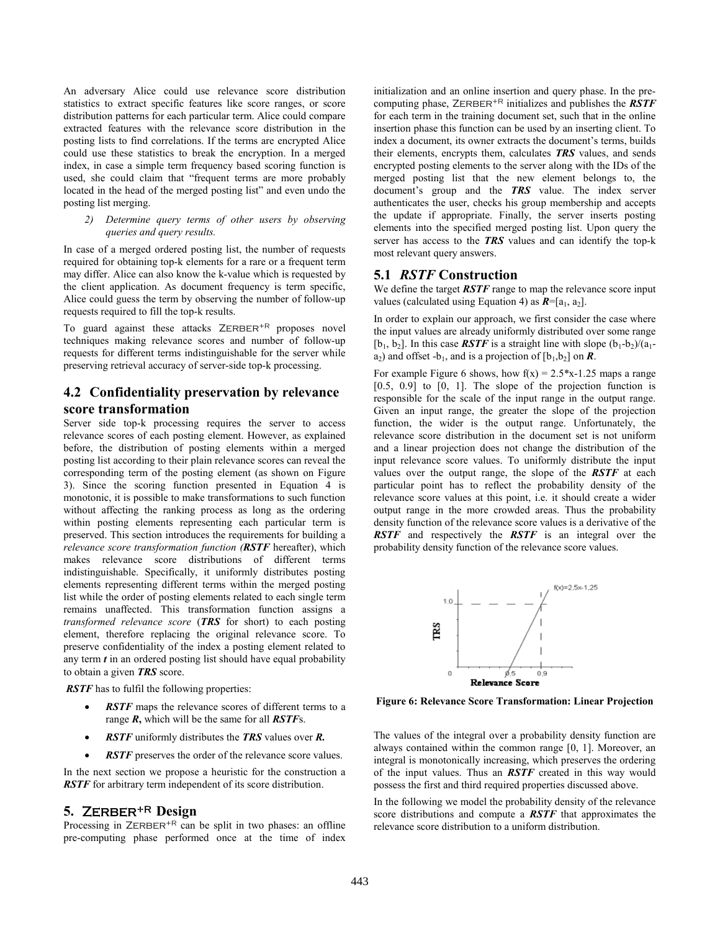An adversary Alice could use relevance score distribution statistics to extract specific features like score ranges, or score distribution patterns for each particular term. Alice could compare extracted features with the relevance score distribution in the posting lists to find correlations. If the terms are encrypted Alice could use these statistics to break the encryption. In a merged index, in case a simple term frequency based scoring function is used, she could claim that "frequent terms are more probably located in the head of the merged posting list" and even undo the posting list merging.

#### *2) Determine query terms of other users by observing queries and query results.*

In case of a merged ordered posting list, the number of requests required for obtaining top-k elements for a rare or a frequent term may differ. Alice can also know the k-value which is requested by the client application. As document frequency is term specific, Alice could guess the term by observing the number of follow-up requests required to fill the top-k results.

To guard against these attacks  $ZERBER^{+R}$  proposes novel techniques making relevance scores and number of follow-up requests for different terms indistinguishable for the server while preserving retrieval accuracy of server-side top-k processing.

# **4.2 Confidentiality preservation by relevance score transformation**

Server side top-k processing requires the server to access relevance scores of each posting element. However, as explained before, the distribution of posting elements within a merged posting list according to their plain relevance scores can reveal the corresponding term of the posting element (as shown on Figure 3). Since the scoring function presented in Equation 4 is monotonic, it is possible to make transformations to such function without affecting the ranking process as long as the ordering within posting elements representing each particular term is preserved. This section introduces the requirements for building a *relevance score transformation function (RSTF* hereafter), which makes relevance score distributions of different terms indistinguishable. Specifically, it uniformly distributes posting elements representing different terms within the merged posting list while the order of posting elements related to each single term remains unaffected. This transformation function assigns a *transformed relevance score* (*TRS* for short) to each posting element, therefore replacing the original relevance score. To preserve confidentiality of the index a posting element related to any term *t* in an ordered posting list should have equal probability to obtain a given *TRS* score.

*RSTF* has to fulfil the following properties:

- *RSTF* maps the relevance scores of different terms to a range *R***,** which will be the same for all *RSTF*s.
- · *RSTF* uniformly distributes the *TRS* values over *R.*
- **RSTF** preserves the order of the relevance score values.

In the next section we propose a heuristic for the construction a *RSTF* for arbitrary term independent of its score distribution.

# **5. Zerber+R Design**

Processing in  $ZERBER^{+R}$  can be split in two phases: an offline pre-computing phase performed once at the time of index

initialization and an online insertion and query phase. In the precomputing phase, ZERBER<sup>+R</sup> initializes and publishes the *RSTF* for each term in the training document set, such that in the online insertion phase this function can be used by an inserting client. To index a document, its owner extracts the document's terms, builds their elements, encrypts them, calculates *TRS* values, and sends encrypted posting elements to the server along with the IDs of the merged posting list that the new element belongs to, the document's group and the *TRS* value. The index server authenticates the user, checks his group membership and accepts the update if appropriate. Finally, the server inserts posting elements into the specified merged posting list. Upon query the server has access to the *TRS* values and can identify the top-k most relevant query answers.

#### **5.1** *RSTF* **Construction**

We define the target *RSTF* range to map the relevance score input values (calculated using Equation 4) as  $R = [a_1, a_2]$ .

In order to explain our approach, we first consider the case where the input values are already uniformly distributed over some range [ $b_1$ ,  $b_2$ ]. In this case *RSTF* is a straight line with slope  $(b_1-b_2)/(a_1-b_2)$  $a_2$ ) and offset  $-b_1$ , and is a projection of  $[b_1,b_2]$  on **R**.

For example Figure 6 shows, how  $f(x) = 2.5 \times 1.25$  maps a range  $[0.5, 0.9]$  to  $[0, 1]$ . The slope of the projection function is responsible for the scale of the input range in the output range. Given an input range, the greater the slope of the projection function, the wider is the output range. Unfortunately, the relevance score distribution in the document set is not uniform and a linear projection does not change the distribution of the input relevance score values. To uniformly distribute the input values over the output range, the slope of the *RSTF* at each particular point has to reflect the probability density of the relevance score values at this point, i.e. it should create a wider output range in the more crowded areas. Thus the probability density function of the relevance score values is a derivative of the *RSTF* and respectively the *RSTF* is an integral over the probability density function of the relevance score values.



**Figure 6: Relevance Score Transformation: Linear Projection** 

The values of the integral over a probability density function are always contained within the common range [0, 1]. Moreover, an integral is monotonically increasing, which preserves the ordering of the input values. Thus an *RSTF* created in this way would possess the first and third required properties discussed above.

In the following we model the probability density of the relevance score distributions and compute a *RSTF* that approximates the relevance score distribution to a uniform distribution.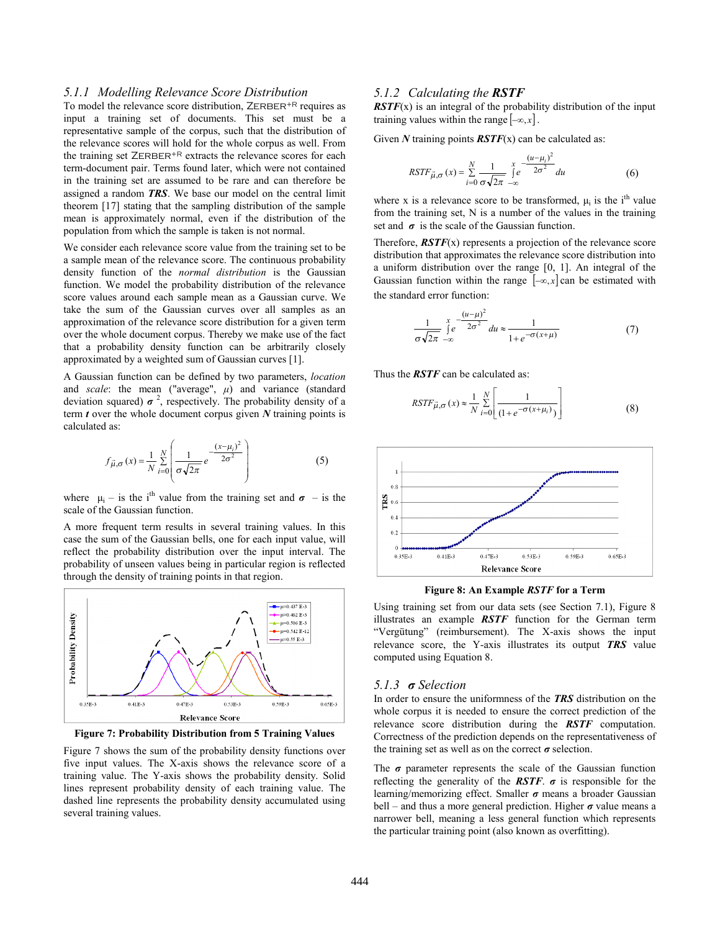### *5.1.1 Modelling Relevance Score Distribution*

To model the relevance score distribution,  $ZERBER^{+R}$  requires as input a training set of documents. This set must be a representative sample of the corpus, such that the distribution of the relevance scores will hold for the whole corpus as well. From the training set ZERBER<sup>+R</sup> extracts the relevance scores for each term-document pair. Terms found later, which were not contained in the training set are assumed to be rare and can therefore be assigned a random *TRS*. We base our model on the central limit theorem [17] stating that the sampling distribution of the sample mean is approximately normal, even if the distribution of the population from which the sample is taken is not normal.

We consider each relevance score value from the training set to be a sample mean of the relevance score. The continuous probability density function of the *normal distribution* is the Gaussian function. We model the probability distribution of the relevance score values around each sample mean as a Gaussian curve. We take the sum of the Gaussian curves over all samples as an approximation of the relevance score distribution for a given term over the whole document corpus. Thereby we make use of the fact that a probability density function can be arbitrarily closely approximated by a weighted sum of Gaussian curves [1].

A Gaussian function can be defined by two parameters, *location* and *scale*: the mean ("average", *μ*) and variance (standard deviation squared)  $\sigma^2$ , respectively. The probability density of a term *t* over the whole document corpus given *N* training points is calculated as:

$$
f_{\vec{\mu},\sigma}(x) = \frac{1}{N} \sum_{i=0}^{N} \left( \frac{1}{\sigma \sqrt{2\pi}} e^{-\frac{(x-\mu_i)^2}{2\sigma^2}} \right)
$$
 (5)

where  $\mu_i$  – is the i<sup>th</sup> value from the training set and  $\sigma$  – is the scale of the Gaussian function.

A more frequent term results in several training values. In this case the sum of the Gaussian bells, one for each input value, will reflect the probability distribution over the input interval. The probability of unseen values being in particular region is reflected through the density of training points in that region.



**Figure 7: Probability Distribution from 5 Training Values** 

Figure 7 shows the sum of the probability density functions over five input values. The X-axis shows the relevance score of a training value. The Y-axis shows the probability density. Solid lines represent probability density of each training value. The dashed line represents the probability density accumulated using several training values.

### *5.1.2 Calculating the RSTF*

*RSTF*(x) is an integral of the probability distribution of the input training values within the range  $[-\infty, x]$ .

Given *N* training points *RSTF*(x) can be calculated as:

$$
RSTF_{\vec{\mu},\sigma}(x) = \sum_{i=0}^{N} \frac{1}{\sigma \sqrt{2\pi}} \int_{-\infty}^{x} e^{\frac{-(u-\mu_{i})^{2}}{2\sigma^{2}}} du
$$
(6)

where x is a relevance score to be transformed,  $\mu_i$  is the i<sup>th</sup> value from the training set, N is a number of the values in the training set and  $\sigma$  is the scale of the Gaussian function.

Therefore,  $\overline{RSTF(x)}$  represents a projection of the relevance score distribution that approximates the relevance score distribution into a uniform distribution over the range [0, 1]. An integral of the Gaussian function within the range  $[-\infty, x]$  can be estimated with the standard error function:

$$
\frac{1}{\sigma\sqrt{2\pi}}\int_{-\infty}^{x} e^{-\frac{(u-\mu)^2}{2\sigma^2}} du \approx \frac{1}{1+e^{-\sigma(x+\mu)}}
$$
(7)

Thus the *RSTF* can be calculated as:

$$
RSTF_{\vec{\mu},\sigma}(x) \approx \frac{1}{N} \sum_{i=0}^{N} \left[ \frac{1}{(1 + e^{-\sigma(x + \mu_i)})} \right]
$$
(8)



**Figure 8: An Example** *RSTF* **for a Term** 

Using training set from our data sets (see Section 7.1), Figure 8 illustrates an example *RSTF* function for the German term "Vergütung" (reimbursement). The X-axis shows the input relevance score, the Y-axis illustrates its output *TRS* value computed using Equation 8.

#### *5.1.3 σ Selection*

In order to ensure the uniformness of the *TRS* distribution on the whole corpus it is needed to ensure the correct prediction of the relevance score distribution during the *RSTF* computation. Correctness of the prediction depends on the representativeness of the training set as well as on the correct  $\sigma$  selection.

The  $\sigma$  parameter represents the scale of the Gaussian function reflecting the generality of the *RSTF*. *σ* is responsible for the learning/memorizing effect. Smaller *σ* means a broader Gaussian bell – and thus a more general prediction. Higher  $\sigma$  value means a narrower bell, meaning a less general function which represents the particular training point (also known as overfitting).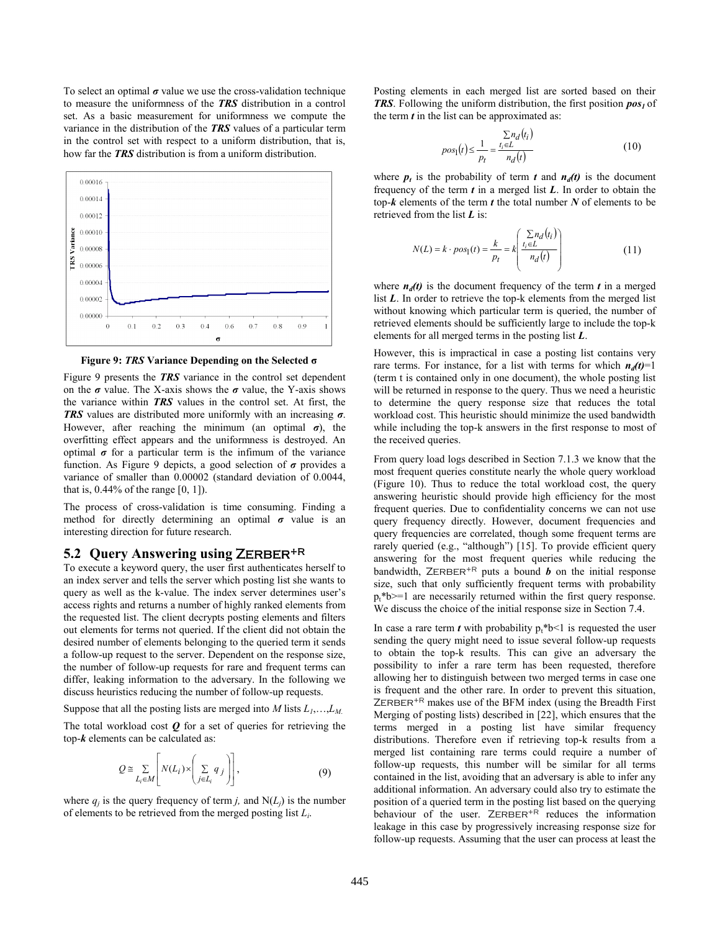To select an optimal  $\sigma$  value we use the cross-validation technique to measure the uniformness of the *TRS* distribution in a control set. As a basic measurement for uniformness we compute the variance in the distribution of the *TRS* values of a particular term in the control set with respect to a uniform distribution, that is, how far the *TRS* distribution is from a uniform distribution.



**Figure 9:** *TRS* **Variance Depending on the Selected σ**

Figure 9 presents the *TRS* variance in the control set dependent on the  $\sigma$  value. The X-axis shows the  $\sigma$  value, the Y-axis shows the variance within *TRS* values in the control set. At first, the *TRS* values are distributed more uniformly with an increasing *σ*. However, after reaching the minimum (an optimal *σ*), the overfitting effect appears and the uniformness is destroyed. An optimal  $\sigma$  for a particular term is the infimum of the variance function. As Figure 9 depicts, a good selection of *σ* provides a variance of smaller than 0.00002 (standard deviation of 0.0044, that is,  $0.44\%$  of the range [0, 1]).

The process of cross-validation is time consuming. Finding a method for directly determining an optimal  $\sigma$  value is an interesting direction for future research.

### **5.2 Query Answering using Zerber+R**

To execute a keyword query, the user first authenticates herself to an index server and tells the server which posting list she wants to query as well as the k-value. The index server determines user's access rights and returns a number of highly ranked elements from the requested list. The client decrypts posting elements and filters out elements for terms not queried. If the client did not obtain the desired number of elements belonging to the queried term it sends a follow-up request to the server. Dependent on the response size, the number of follow-up requests for rare and frequent terms can differ, leaking information to the adversary. In the following we discuss heuristics reducing the number of follow-up requests.

Suppose that all the posting lists are merged into *M* lists *L<sup>1</sup>* ,…,*LM*.

The total workload cost  $Q$  for a set of queries for retrieving the top-*k* elements can be calculated as:

$$
Q \cong \sum_{L_i \in M} \left[ N(L_i) \times \left( \sum_{j \in L_i} q_j \right) \right],
$$
 (9)

where  $q_i$  is the query frequency of term *j*, and  $N(L_i)$  is the number of elements to be retrieved from the merged posting list *L<sup>i</sup>* .

Posting elements in each merged list are sorted based on their *TRS*. Following the uniform distribution, the first position *pos<sup>1</sup>* of the term  $t$  in the list can be approximated as:

$$
pos1(t) \le \frac{1}{p_t} = \frac{\sum n_d(t_i)}{n_d(t)}
$$
(10)

where  $p_t$  is the probability of term  $t$  and  $n_d(t)$  is the document frequency of the term  $t$  in a merged list  $L$ . In order to obtain the top-*k* elements of the term *t* the total number *N* of elements to be retrieved from the list *L* is:

$$
N(L) = k \cdot pos_1(t) = \frac{k}{p_t} = k \left( \frac{\sum n_d(t_i)}{n_d(t)} \right) \tag{11}
$$

where  $n_d(t)$  is the document frequency of the term  $t$  in a merged list *L*. In order to retrieve the top-k elements from the merged list without knowing which particular term is queried, the number of retrieved elements should be sufficiently large to include the top-k elements for all merged terms in the posting list *L*.

However, this is impractical in case a posting list contains very rare terms. For instance, for a list with terms for which  $n_d(t)=1$ (term t is contained only in one document), the whole posting list will be returned in response to the query. Thus we need a heuristic to determine the query response size that reduces the total workload cost. This heuristic should minimize the used bandwidth while including the top-k answers in the first response to most of the received queries.

From query load logs described in Section 7.1.3 we know that the most frequent queries constitute nearly the whole query workload (Figure 10). Thus to reduce the total workload cost, the query answering heuristic should provide high efficiency for the most frequent queries. Due to confidentiality concerns we can not use query frequency directly. However, document frequencies and query frequencies are correlated, though some frequent terms are rarely queried (e.g., "although") [15]. To provide efficient query answering for the most frequent queries while reducing the bandwidth,  $ZERBER^{+R}$  puts a bound *b* on the initial response size, such that only sufficiently frequent terms with probability  $p_t^*b>=1$  are necessarily returned within the first query response. We discuss the choice of the initial response size in Section 7.4.

In case a rare term *t* with probability  $p_t * b \le 1$  is requested the user sending the query might need to issue several follow-up requests to obtain the top-k results. This can give an adversary the possibility to infer a rare term has been requested, therefore allowing her to distinguish between two merged terms in case one is frequent and the other rare. In order to prevent this situation, ZERBER<sup>+R</sup> makes use of the BFM index (using the Breadth First Merging of posting lists) described in [22], which ensures that the terms merged in a posting list have similar frequency distributions. Therefore even if retrieving top-k results from a merged list containing rare terms could require a number of follow-up requests, this number will be similar for all terms contained in the list, avoiding that an adversary is able to infer any additional information. An adversary could also try to estimate the position of a queried term in the posting list based on the querying behaviour of the user. ZERBER<sup>+R</sup> reduces the information leakage in this case by progressively increasing response size for follow-up requests. Assuming that the user can process at least the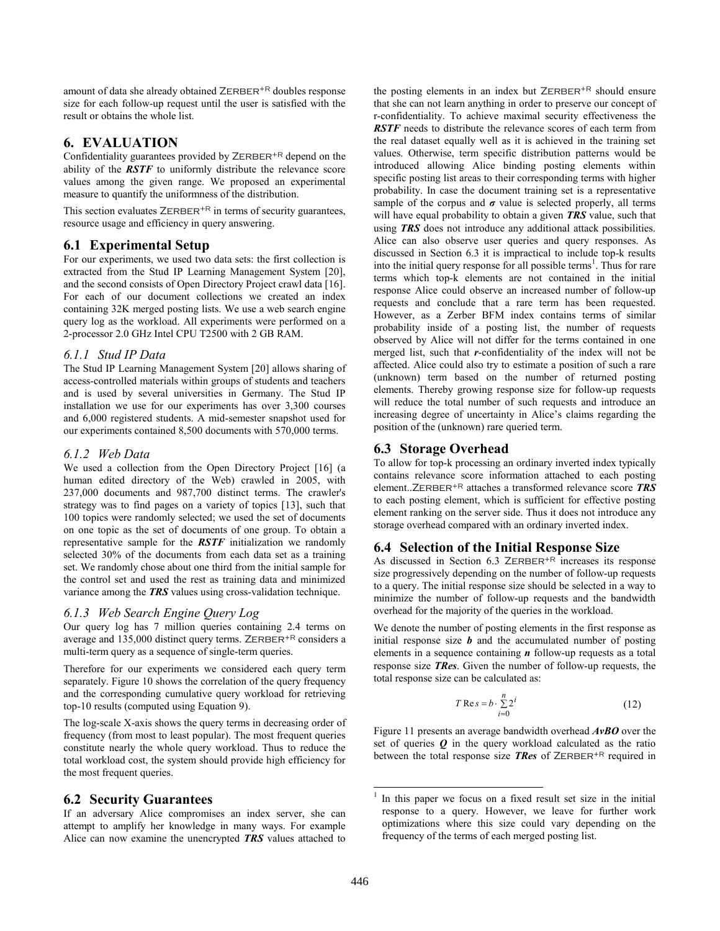amount of data she already obtained ZERBER<sup>+R</sup> doubles response size for each follow-up request until the user is satisfied with the result or obtains the whole list.

# **6. EVALUATION**

Confidentiality guarantees provided by  $ZERBER^{+R}$  depend on the ability of the *RSTF* to uniformly distribute the relevance score values among the given range. We proposed an experimental measure to quantify the uniformness of the distribution.

This section evaluates  $ZERBER^{+R}$  in terms of security guarantees, resource usage and efficiency in query answering.

# **6.1 Experimental Setup**

For our experiments, we used two data sets: the first collection is extracted from the Stud IP Learning Management System [20], and the second consists of Open Directory Project crawl data [16]. For each of our document collections we created an index containing 32K merged posting lists. We use a web search engine query log as the workload. All experiments were performed on a 2-processor 2.0 GHz Intel CPU T2500 with 2 GB RAM.

# *6.1.1 Stud IP Data*

The Stud IP Learning Management System [20] allows sharing of access-controlled materials within groups of students and teachers and is used by several universities in Germany. The Stud IP installation we use for our experiments has over 3,300 courses and 6,000 registered students. A mid-semester snapshot used for our experiments contained 8,500 documents with 570,000 terms.

# *6.1.2 Web Data*

We used a collection from the Open Directory Project [16] (a human edited directory of the Web) crawled in 2005, with 237,000 documents and 987,700 distinct terms. The crawler's strategy was to find pages on a variety of topics [13], such that 100 topics were randomly selected; we used the set of documents on one topic as the set of documents of one group. To obtain a representative sample for the *RSTF* initialization we randomly selected 30% of the documents from each data set as a training set. We randomly chose about one third from the initial sample for the control set and used the rest as training data and minimized variance among the *TRS* values using cross-validation technique.

# *6.1.3 Web Search Engine Query Log*

Our query log has 7 million queries containing 2.4 terms on average and  $135,000$  distinct query terms. ZERBER<sup>+R</sup> considers a multi-term query as a sequence of single-term queries.

Therefore for our experiments we considered each query term separately. Figure 10 shows the correlation of the query frequency and the corresponding cumulative query workload for retrieving top-10 results (computed using Equation 9).

The log-scale X-axis shows the query terms in decreasing order of frequency (from most to least popular). The most frequent queries constitute nearly the whole query workload. Thus to reduce the total workload cost, the system should provide high efficiency for the most frequent queries.

# **6.2 Security Guarantees**

If an adversary Alice compromises an index server, she can attempt to amplify her knowledge in many ways. For example Alice can now examine the unencrypted *TRS* values attached to

the posting elements in an index but  $ZERBER^{+R}$  should ensure that she can not learn anything in order to preserve our concept of r-confidentiality. To achieve maximal security effectiveness the *RSTF* needs to distribute the relevance scores of each term from the real dataset equally well as it is achieved in the training set values. Otherwise, term specific distribution patterns would be introduced allowing Alice binding posting elements within specific posting list areas to their corresponding terms with higher probability. In case the document training set is a representative sample of the corpus and  $\sigma$  value is selected properly, all terms will have equal probability to obtain a given *TRS* value, such that using *TRS* does not introduce any additional attack possibilities. Alice can also observe user queries and query responses. As discussed in Section 6.3 it is impractical to include top-k results into the initial query response for all possible terms<sup>1</sup>. Thus for rare terms which top-k elements are not contained in the initial response Alice could observe an increased number of follow-up requests and conclude that a rare term has been requested. However, as a Zerber BFM index contains terms of similar probability inside of a posting list, the number of requests observed by Alice will not differ for the terms contained in one merged list, such that *r*-confidentiality of the index will not be affected. Alice could also try to estimate a position of such a rare (unknown) term based on the number of returned posting elements. Thereby growing response size for follow-up requests will reduce the total number of such requests and introduce an increasing degree of uncertainty in Alice's claims regarding the position of the (unknown) rare queried term.

# **6.3 Storage Overhead**

To allow for top-k processing an ordinary inverted index typically contains relevance score information attached to each posting element..ZERBER<sup>+R</sup> attaches a transformed relevance score **TRS** to each posting element, which is sufficient for effective posting element ranking on the server side. Thus it does not introduce any storage overhead compared with an ordinary inverted index.

# **6.4 Selection of the Initial Response Size**

As discussed in Section 6.3 ZERBER<sup>+R</sup> increases its response size progressively depending on the number of follow-up requests to a query. The initial response size should be selected in a way to minimize the number of follow-up requests and the bandwidth overhead for the majority of the queries in the workload.

We denote the number of posting elements in the first response as initial response size  **and the accumulated number of posting** elements in a sequence containing *n* follow-up requests as a total response size *TRes*. Given the number of follow-up requests, the total response size can be calculated as:

$$
T \operatorname{Re} s = b \cdot \sum_{i=0}^{n} 2^{i}
$$
 (12)

Figure 11 presents an average bandwidth overhead *AvBO* over the set of queries *Q* in the query workload calculated as the ratio between the total response size **TRes** of ZERBER<sup>+R</sup> required in

 $\overline{a}$ 

<sup>1</sup> In this paper we focus on a fixed result set size in the initial response to a query. However, we leave for further work optimizations where this size could vary depending on the frequency of the terms of each merged posting list.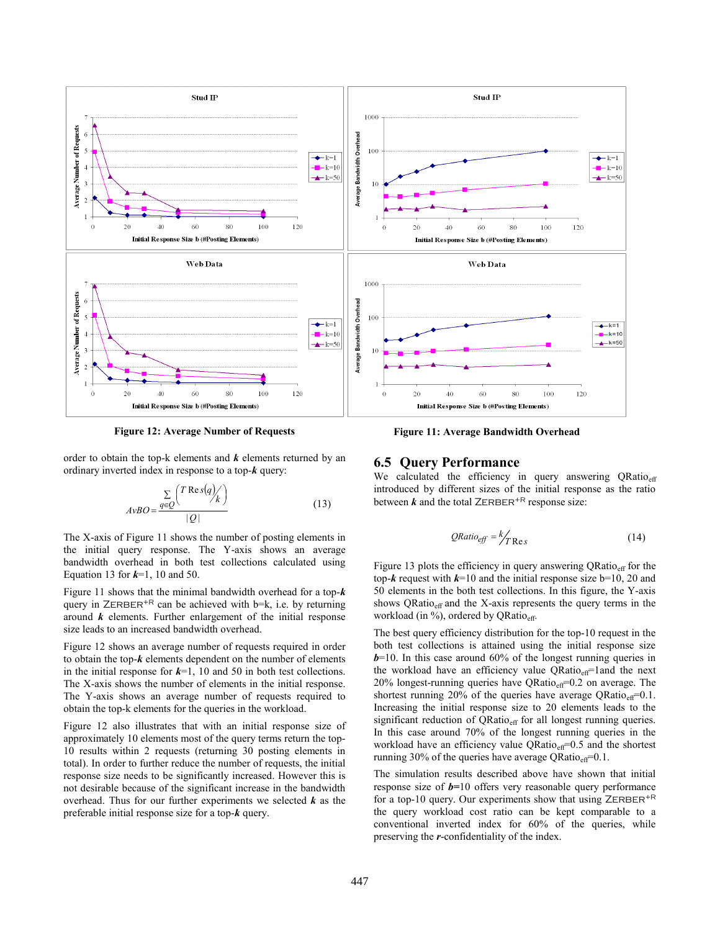

**Figure 12: Average Number of Requests** 

**Figure 11: Average Bandwidth Overhead** 

order to obtain the top-k elements and *k* elements returned by an ordinary inverted index in response to a top-*k* query:

$$
AvBO = \frac{\sum\limits_{q \in Q} {T \operatorname{Re} s(q)}{k}}{|Q|}
$$
 (13)

The X-axis of Figure 11 shows the number of posting elements in the initial query response. The Y-axis shows an average bandwidth overhead in both test collections calculated using Equation 13 for *k*=1, 10 and 50.

Figure 11 shows that the minimal bandwidth overhead for a top-*k* query in  $ZERBER^{+R}$  can be achieved with b=k, i.e. by returning around *k* elements. Further enlargement of the initial response size leads to an increased bandwidth overhead.

Figure 12 shows an average number of requests required in order to obtain the top-*k* elements dependent on the number of elements in the initial response for  $k=1$ , 10 and 50 in both test collections. The X-axis shows the number of elements in the initial response. The Y-axis shows an average number of requests required to obtain the top-k elements for the queries in the workload.

Figure 12 also illustrates that with an initial response size of approximately 10 elements most of the query terms return the top-10 results within 2 requests (returning 30 posting elements in total). In order to further reduce the number of requests, the initial response size needs to be significantly increased. However this is not desirable because of the significant increase in the bandwidth overhead. Thus for our further experiments we selected *k* as the preferable initial response size for a top-*k* query.

#### **6.5 Query Performance**

We calculated the efficiency in query answering QRatio<sub>eff</sub> introduced by different sizes of the initial response as the ratio between  $k$  and the total ZERBER<sup>+R</sup> response size:

$$
QRatio_{eff} = \frac{k}{TRes}
$$
 (14)

Figure 13 plots the efficiency in query answering  $QRatio_{\text{eff}}$  for the top- $k$  request with  $k=10$  and the initial response size b=10, 20 and 50 elements in the both test collections. In this figure, the Y-axis shows ORatio $_{\text{eff}}$  and the X-axis represents the query terms in the workload (in %), ordered by QRatio<sub>eff</sub>.

The best query efficiency distribution for the top-10 request in the both test collections is attained using the initial response size  $b=10$ . In this case around 60% of the longest running queries in the workload have an efficiency value  $QRatio_{\text{eff}}$ =1and the next 20% longest-running queries have  $QRatio_{\text{eff}}=0.2$  on average. The shortest running 20% of the queries have average ORatio $_{\text{eff}}$ =0.1. Increasing the initial response size to 20 elements leads to the significant reduction of  $\hat{Q}Ratio_{eff}$  for all longest running queries. In this case around 70% of the longest running queries in the workload have an efficiency value  $QRatio_{\text{eff}}=0.5$  and the shortest running 30% of the queries have average QRatio $_{\text{eff}}$ =0.1.

The simulation results described above have shown that initial response size of *b=*10 offers very reasonable query performance for a top-10 query. Our experiments show that using  $ZERBER^{+R}$ the query workload cost ratio can be kept comparable to a conventional inverted index for 60% of the queries, while preserving the *r*-confidentiality of the index.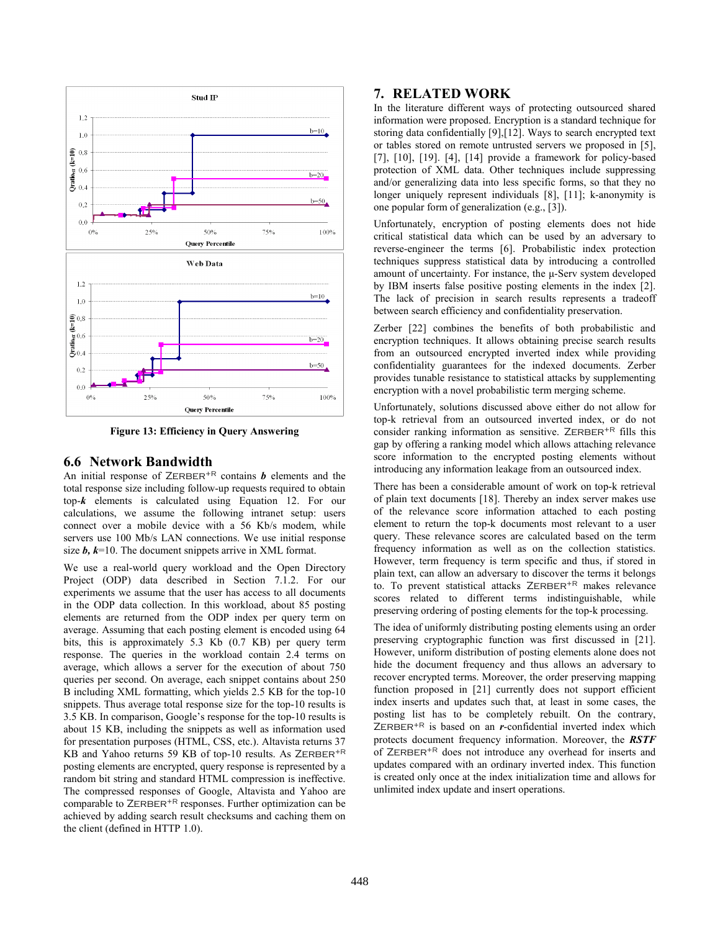

**Figure 13: Efficiency in Query Answering** 

# **6.6 Network Bandwidth**

An initial response of  $ZERBER^{+R}$  contains  $\boldsymbol{b}$  elements and the total response size including follow-up requests required to obtain top-*k* elements is calculated using Equation 12. For our calculations, we assume the following intranet setup: users connect over a mobile device with a 56 Kb/s modem, while servers use 100 Mb/s LAN connections. We use initial response size *b*,  $k=10$ . The document snippets arrive in XML format.

We use a real-world query workload and the Open Directory Project (ODP) data described in Section 7.1.2. For our experiments we assume that the user has access to all documents in the ODP data collection. In this workload, about 85 posting elements are returned from the ODP index per query term on average. Assuming that each posting element is encoded using 64 bits, this is approximately 5.3 Kb (0.7 KB) per query term response. The queries in the workload contain 2.4 terms on average, which allows a server for the execution of about 750 queries per second. On average, each snippet contains about 250 B including XML formatting, which yields 2.5 KB for the top-10 snippets. Thus average total response size for the top-10 results is 3.5 KB. In comparison, Google's response for the top-10 results is about 15 KB, including the snippets as well as information used for presentation purposes (HTML, CSS, etc.). Altavista returns 37 KB and Yahoo returns 59 KB of top-10 results. As  $ZERBER^{+R}$ posting elements are encrypted, query response is represented by a random bit string and standard HTML compression is ineffective. The compressed responses of Google, Altavista and Yahoo are comparable to  $ZERBER^{+R}$  responses. Further optimization can be achieved by adding search result checksums and caching them on the client (defined in HTTP 1.0).

# **7. RELATED WORK**

In the literature different ways of protecting outsourced shared information were proposed. Encryption is a standard technique for storing data confidentially [9],[12]. Ways to search encrypted text or tables stored on remote untrusted servers we proposed in [5], [7], [10], [19]. [4], [14] provide a framework for policy-based protection of XML data. Other techniques include suppressing and/or generalizing data into less specific forms, so that they no longer uniquely represent individuals [8], [11]; k-anonymity is one popular form of generalization (e.g., [3]).

Unfortunately, encryption of posting elements does not hide critical statistical data which can be used by an adversary to reverse-engineer the terms [6]. Probabilistic index protection techniques suppress statistical data by introducing a controlled amount of uncertainty. For instance, the μ-Serv system developed by IBM inserts false positive posting elements in the index [2]. The lack of precision in search results represents a tradeoff between search efficiency and confidentiality preservation.

Zerber [22] combines the benefits of both probabilistic and encryption techniques. It allows obtaining precise search results from an outsourced encrypted inverted index while providing confidentiality guarantees for the indexed documents. Zerber provides tunable resistance to statistical attacks by supplementing encryption with a novel probabilistic term merging scheme.

Unfortunately, solutions discussed above either do not allow for top-k retrieval from an outsourced inverted index, or do not consider ranking information as sensitive. ZERBER<sup>+R</sup> fills this gap by offering a ranking model which allows attaching relevance score information to the encrypted posting elements without introducing any information leakage from an outsourced index.

There has been a considerable amount of work on top-k retrieval of plain text documents [18]. Thereby an index server makes use of the relevance score information attached to each posting element to return the top-k documents most relevant to a user query. These relevance scores are calculated based on the term frequency information as well as on the collection statistics. However, term frequency is term specific and thus, if stored in plain text, can allow an adversary to discover the terms it belongs to. To prevent statistical attacks ZERBER<sup>+R</sup> makes relevance scores related to different terms indistinguishable, while preserving ordering of posting elements for the top-k processing.

The idea of uniformly distributing posting elements using an order preserving cryptographic function was first discussed in [21]. However, uniform distribution of posting elements alone does not hide the document frequency and thus allows an adversary to recover encrypted terms. Moreover, the order preserving mapping function proposed in [21] currently does not support efficient index inserts and updates such that, at least in some cases, the posting list has to be completely rebuilt. On the contrary, ZERBER<sup>+R</sup> is based on an *r*-confidential inverted index which protects document frequency information. Moreover, the *RSTF* of ZERBER<sup>+R</sup> does not introduce any overhead for inserts and updates compared with an ordinary inverted index. This function is created only once at the index initialization time and allows for unlimited index update and insert operations.